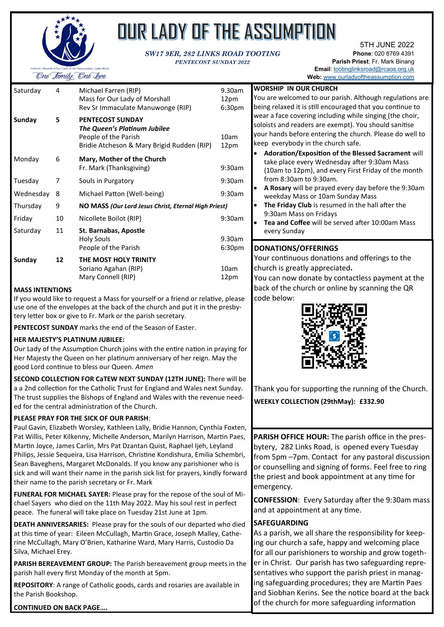

# OUR LADY OF THE ASSUMPTION

#### *SW17 9ER, 282 LINKS ROAD TOOTING PENTECOST SUNDAY 2022*

5TH JUNE 2022 **Phone**: 020 8769 4391 **Parish Priest**: Fr. Mark Binang **Email**: [tootinglinksroad@rcaos.org.uk](mailto:tootinglinksroad@rcaos.org.uk) Web: [www.ourladyoftheassumption.com](http://www.ourladyoftheassumption.com)

| Saturday  | 4  | Michael Farren (RIP)<br>Mass for Our Lady of Morshall<br>Rev Sr Immaculate Manuwonge (RIP)                                    | 9.30am<br>12pm<br>6:30pm     |
|-----------|----|-------------------------------------------------------------------------------------------------------------------------------|------------------------------|
| Sunday    | 5  | <b>PENTECOST SUNDAY</b><br>The Queen's Platinum Jubilee<br>People of the Parish<br>Bridie Atcheson & Mary Brigid Rudden (RIP) | 10am<br>12pm                 |
| Monday    | 6  | Mary, Mother of the Church<br>Fr. Mark (Thanksgiving)                                                                         | 9:30am                       |
| Tuesday   | 7  | Souls in Purgatory                                                                                                            | 9:30am                       |
| Wednesday | 8  | Michael Patton (Well-being)                                                                                                   | 9:30am                       |
| Thursday  | 9  | NO MASS (Our Lord Jesus Christ, Eternal High Priest)                                                                          |                              |
| Friday    | 10 | Nicollete Boilot (RIP)                                                                                                        | 9:30am                       |
| Saturday  | 11 | St. Barnabas, Apostle<br>Holy Souls<br>People of the Parish                                                                   | 9.30am<br>6:30 <sub>pm</sub> |
| Sunday    | 12 | THE MOST HOLY TRINITY<br>Soriano Agahan (RIP)<br>Mary Connell (RIP)                                                           | 10am<br>12pm                 |

#### **MASS INTENTIONS**

If you would like to request a Mass for yourself or a friend or relative, please use one of the envelopes at the back of the church and put it in the presbytery letter box or give to Fr. Mark or the parish secretary.

**PENTECOST SUNDAY** marks the end of the Season of Easter.

#### **HER MAJESTY'S PLATINUM JUBILEE:**

Our Lady of the Assumption Church joins with the entire nation in praying for Her Majesty the Queen on her platinum anniversary of her reign. May the good Lord continue to bless our Queen. *Amen*

**SECOND COLLECTION FOR CaTEW NEXT SUNDAY (12TH JUNE):** There will be a a 2nd collection for the Catholic Trust for England and Wales next Sunday. The trust supplies the Bishops of England and Wales with the revenue needed for the central administration of the Church.

#### **PLEASE PRAY FOR THE SICK OF OUR PARISH**:

Paul Gavin, Elizabeth Worsley, Kathleen Lally, Bridie Hannon, Cynthia Foxten, Pat Willis, Peter Kilkenny, Michelle Anderson, Marilyn Harrison, Martin Paes, Martin Joyce, James Carlin, Mrs Pat Dzantan Quist, Raphael Ijeh, Leyland Philips, Jessie Sequeira, Lisa Harrison, Christine Kondishura, Emilia Schembri, Sean Baveghens, Margaret McDonalds. If you know any parishioner who is sick and will want their name in the parish sick list for prayers, kindly forward their name to the parish secretary or Fr. Mark

**FUNERAL FOR MICHAEL SAYER:** Please pray for the repose of the soul of Michael Sayers who died on the 11th May 2022. May his soul rest in perfect peace. The funeral will take place on Tuesday 21st June at 1pm.

**DEATH ANNIVERSARIES:** Please pray for the souls of our departed who died at this time of year: Eileen McCullagh, Martin Grace, Joseph Malley, Catherine McCullagh, Mary O'Brien, Katharine Ward, Mary Harris, Custodio Da Silva, Michael Erey.

**PARISH BEREAVEMENT GROUP:** The Parish bereavement group meets in the parish hall every first Monday of the month at 5pm.

**REPOSITORY**: A range of Catholic goods, cards and rosaries are available in the Parish Bookshop.

| <b>WORSHIP IN OUR CHURCH</b>                                                            |  |  |  |  |  |
|-----------------------------------------------------------------------------------------|--|--|--|--|--|
| You are welcomed to our parish. Although regulations are                                |  |  |  |  |  |
| being relaxed it is still encouraged that you continue to                               |  |  |  |  |  |
| wear a face covering including while singing (the choir,                                |  |  |  |  |  |
| soloists and readers are exempt). You should sanitise                                   |  |  |  |  |  |
| your hands before entering the church. Please do well to                                |  |  |  |  |  |
| keep everybody in the church safe.                                                      |  |  |  |  |  |
| <b>Adoration/Exposition of the Blessed Sacrament will</b>                               |  |  |  |  |  |
| take place every Wednesday after 9:30am Mass                                            |  |  |  |  |  |
| (10am to 12pm), and every First Friday of the month                                     |  |  |  |  |  |
| from 8:30am to 9:30am.                                                                  |  |  |  |  |  |
| A Rosary will be prayed every day before the 9:30am<br>weekday Mass or 10am Sunday Mass |  |  |  |  |  |
| The Friday Club is resumed in the hall after the                                        |  |  |  |  |  |
| 9:30am Mass on Fridays                                                                  |  |  |  |  |  |
| <b>Tea and Coffee</b> will be served after 10:00am Mass                                 |  |  |  |  |  |
| every Sunday                                                                            |  |  |  |  |  |
| DONATIONS/OFFERINGS                                                                     |  |  |  |  |  |
| Your continuous donations and offerings to the                                          |  |  |  |  |  |
|                                                                                         |  |  |  |  |  |

Your continuous donations and offerings to the church is greatly appreciated**.** 

You can now donate by contactless payment at the back of the church or online by scanning the QR code below:



Thank you for supporting the running of the Church. **WEEKLY COLLECTION (29thMay): £332.90**

**PARISH OFFICE HOUR:** The parish office in the presbytery, 282 Links Road, is opened every Tuesday from 5pm –7pm. Contact for any pastoral discussion or counselling and signing of forms. Feel free to ring the priest and book appointment at any time for emergency.

**CONFESSION**: Every Saturday after the 9:30am mass and at appointment at any time.

#### **SAFEGUARDING**

As a parish, we all share the responsibility for keeping our church a safe, happy and welcoming place for all our parishioners to worship and grow together in Christ. Our parish has two safeguarding representatives who support the parish priest in managing safeguarding procedures; they are Martin Paes and Siobhan Kerins. See the notice board at the back of the church for more safeguarding information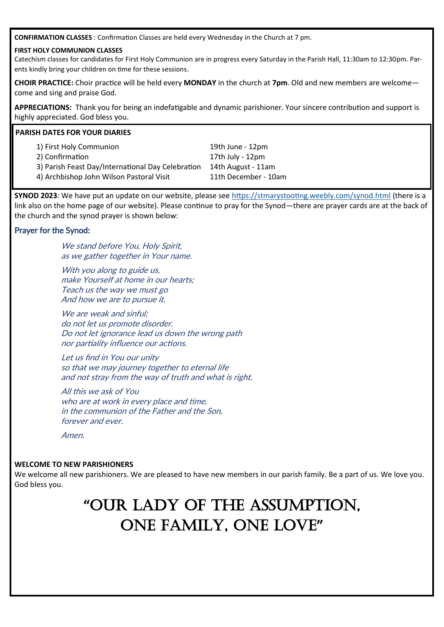**CONFIRMATION CLASSES** : Confirmation Classes are held every Wednesday in the Church at 7 pm.

#### **FIRST HOLY COMMUNION CLASSES**

Catechism classes for candidates for First Holy Communion are in progress every Saturday in the Parish Hall, 11:30am to 12:30pm. Parents kindly bring your children on time for these sessions.

**CHOIR PRACTICE:** Choir practice will be held every **MONDAY** in the church at **7pm**. Old and new members are welcome come and sing and praise God.

**APPRECIATIONS:** Thank you for being an indefatigable and dynamic parishioner. Your sincere contribution and support is highly appreciated. God bless you.

#### **PARISH DATES FOR YOUR DIARIES**

1) First Holy Communion 19th June - 12pm 2) Confirmation 20 and 27th July - 12pm 3) Parish Feast Day/International Day Celebration 14th August - 11am 4) Archbishop John Wilson Pastoral Visit 11th December - 10am

**SYNOD 2023**: We have put an update on our website, please see <https://stmarystooting.weebly.com/synod.html> (there is a link also on the home page of our website). Please continue to pray for the Synod—there are prayer cards are at the back of the church and the synod prayer is shown below:

#### Prayer for the Synod:

We stand before You, Holy Spirit, as we gather together in Your name.

With you along to guide us, make Yourself at home in our hearts; Teach us the way we must go And how we are to pursue it.

We are weak and sinful: do not let us promote disorder. Do not let ignorance lead us down the wrong path nor partiality influence our actions.

Let us find in You our unity so that we may journey together to eternal life and not stray from the way of truth and what is right.

All this we ask of You who are at work in every place and time, in the communion of the Father and the Son, forever and ever.

Amen.

#### **WELCOME TO NEW PARISHIONERS**

We welcome all new parishioners. We are pleased to have new members in our parish family. Be a part of us. We love you. God bless you.

## **"**OUR LADY OF THE ASSUMPTION, ONE FAMILY, ONE LOVE**"**